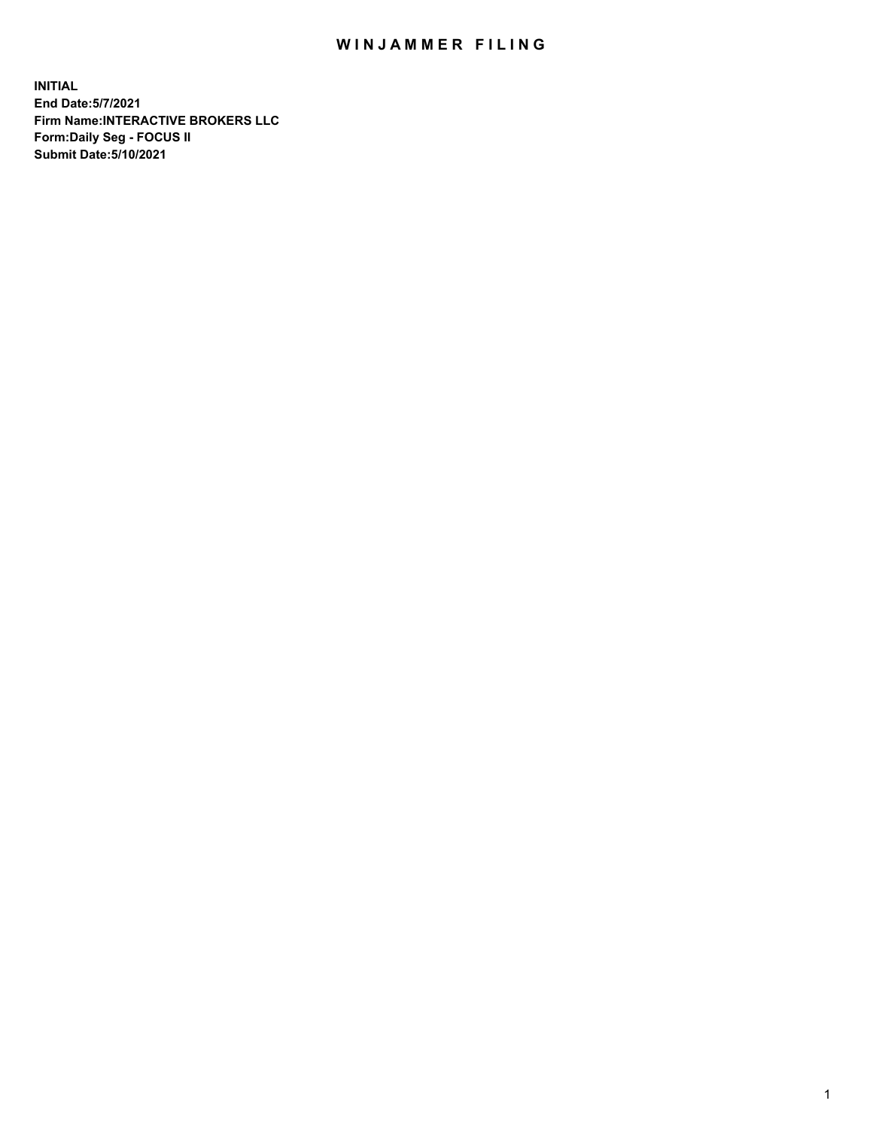## WIN JAMMER FILING

**INITIAL End Date:5/7/2021 Firm Name:INTERACTIVE BROKERS LLC Form:Daily Seg - FOCUS II Submit Date:5/10/2021**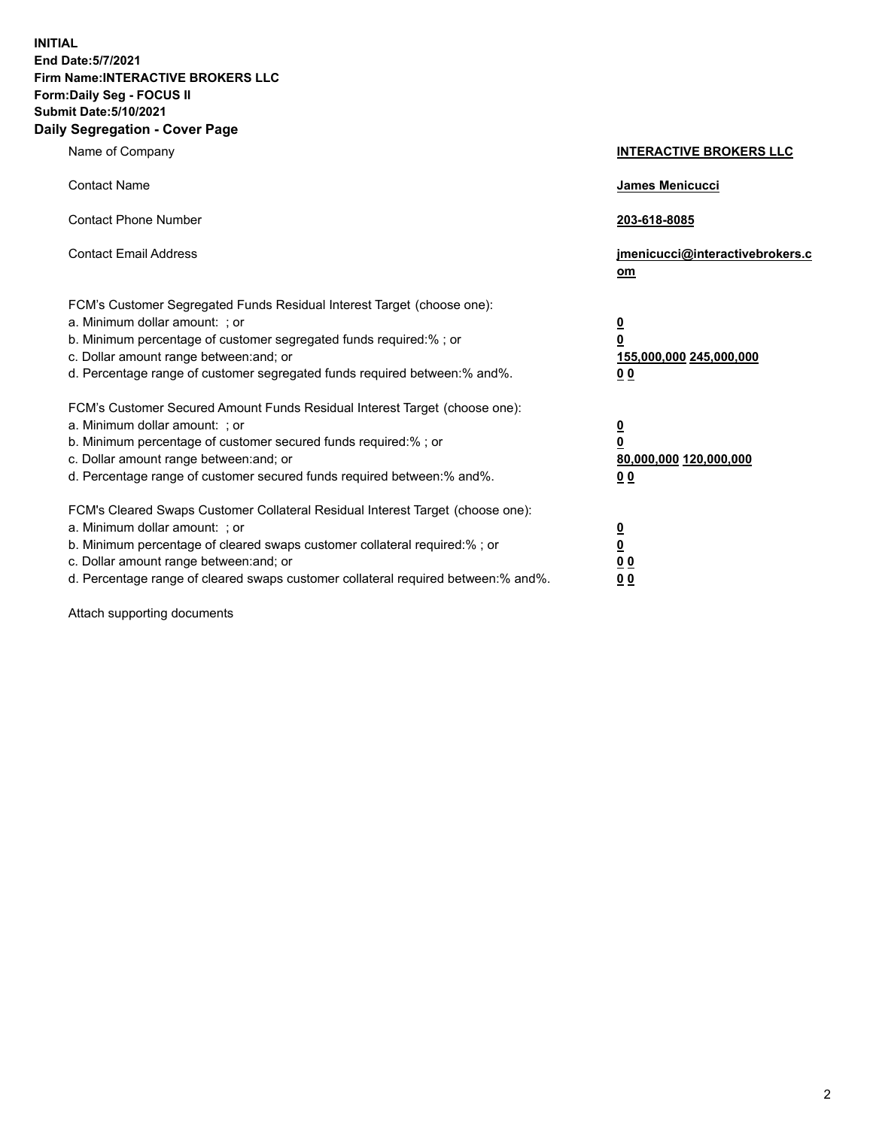**INITIAL End Date:5/7/2021 Firm Name:INTERACTIVE BROKERS LLC Form:Daily Seg - FOCUS II Submit Date:5/10/2021 Daily Segregation - Cover Page**

| Name of Company                                                                                                                                                                                                                                                                                                                | <b>INTERACTIVE BROKERS LLC</b>                                                                  |
|--------------------------------------------------------------------------------------------------------------------------------------------------------------------------------------------------------------------------------------------------------------------------------------------------------------------------------|-------------------------------------------------------------------------------------------------|
| <b>Contact Name</b>                                                                                                                                                                                                                                                                                                            | James Menicucci                                                                                 |
| <b>Contact Phone Number</b>                                                                                                                                                                                                                                                                                                    | 203-618-8085                                                                                    |
| <b>Contact Email Address</b>                                                                                                                                                                                                                                                                                                   | jmenicucci@interactivebrokers.c<br>$om$                                                         |
| FCM's Customer Segregated Funds Residual Interest Target (choose one):<br>a. Minimum dollar amount: ; or<br>b. Minimum percentage of customer segregated funds required:% ; or<br>c. Dollar amount range between: and; or<br>d. Percentage range of customer segregated funds required between:% and%.                         | $\overline{\mathbf{0}}$<br>$\overline{\mathbf{0}}$<br>155,000,000 245,000,000<br>0 <sub>0</sub> |
| FCM's Customer Secured Amount Funds Residual Interest Target (choose one):<br>a. Minimum dollar amount: ; or<br>b. Minimum percentage of customer secured funds required:%; or<br>c. Dollar amount range between: and; or<br>d. Percentage range of customer secured funds required between:% and%.                            | $\overline{\mathbf{0}}$<br>$\overline{\mathbf{0}}$<br>80,000,000 120,000,000<br>0 <sub>0</sub>  |
| FCM's Cleared Swaps Customer Collateral Residual Interest Target (choose one):<br>a. Minimum dollar amount: ; or<br>b. Minimum percentage of cleared swaps customer collateral required:% ; or<br>c. Dollar amount range between: and; or<br>d. Percentage range of cleared swaps customer collateral required between:% and%. | $\overline{\mathbf{0}}$<br><u>0</u><br>0 <sub>0</sub><br>0 <sub>0</sub>                         |

Attach supporting documents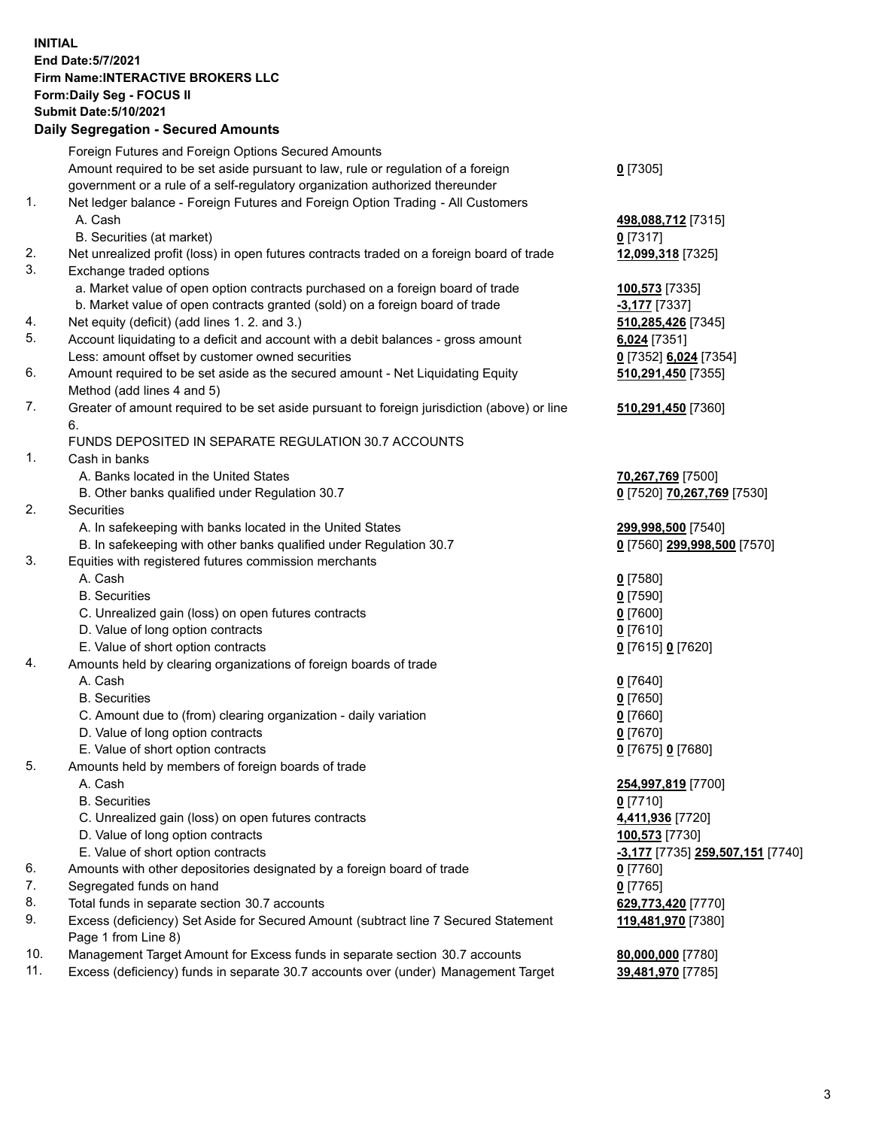## **INITIAL End Date:5/7/2021 Firm Name:INTERACTIVE BROKERS LLC Form:Daily Seg - FOCUS II Submit Date:5/10/2021 Daily Segregation - Secured Amounts**

|     | Dany Segregation - Secured Amounts                                                                                                                                |                                         |
|-----|-------------------------------------------------------------------------------------------------------------------------------------------------------------------|-----------------------------------------|
|     | Foreign Futures and Foreign Options Secured Amounts                                                                                                               |                                         |
|     | Amount required to be set aside pursuant to law, rule or regulation of a foreign                                                                                  | $0$ [7305]                              |
|     | government or a rule of a self-regulatory organization authorized thereunder                                                                                      |                                         |
| 1.  | Net ledger balance - Foreign Futures and Foreign Option Trading - All Customers                                                                                   |                                         |
|     | A. Cash                                                                                                                                                           | 498,088,712 [7315]                      |
|     | B. Securities (at market)                                                                                                                                         | $0$ [7317]                              |
| 2.  | Net unrealized profit (loss) in open futures contracts traded on a foreign board of trade                                                                         | 12,099,318 [7325]                       |
| 3.  | Exchange traded options                                                                                                                                           |                                         |
|     | a. Market value of open option contracts purchased on a foreign board of trade                                                                                    | 100,573 [7335]                          |
|     | b. Market value of open contracts granted (sold) on a foreign board of trade                                                                                      | <b>-3,177</b> [7337]                    |
| 4.  | Net equity (deficit) (add lines 1. 2. and 3.)                                                                                                                     | 510,285,426 [7345]                      |
| 5.  | Account liquidating to a deficit and account with a debit balances - gross amount                                                                                 | 6,024 [7351]                            |
|     | Less: amount offset by customer owned securities                                                                                                                  | 0 [7352] 6,024 [7354]                   |
| 6.  | Amount required to be set aside as the secured amount - Net Liquidating Equity                                                                                    | 510,291,450 [7355]                      |
|     | Method (add lines 4 and 5)                                                                                                                                        |                                         |
| 7.  | Greater of amount required to be set aside pursuant to foreign jurisdiction (above) or line<br>6.                                                                 | 510,291,450 [7360]                      |
|     | FUNDS DEPOSITED IN SEPARATE REGULATION 30.7 ACCOUNTS                                                                                                              |                                         |
| 1.  | Cash in banks                                                                                                                                                     |                                         |
|     | A. Banks located in the United States                                                                                                                             | 70,267,769 [7500]                       |
|     | B. Other banks qualified under Regulation 30.7                                                                                                                    | 0 [7520] 70,267,769 [7530]              |
| 2.  | <b>Securities</b>                                                                                                                                                 |                                         |
|     | A. In safekeeping with banks located in the United States                                                                                                         | 299,998,500 [7540]                      |
|     | B. In safekeeping with other banks qualified under Regulation 30.7                                                                                                | 0 [7560] 299,998,500 [7570]             |
| 3.  | Equities with registered futures commission merchants                                                                                                             |                                         |
|     | A. Cash                                                                                                                                                           | $0$ [7580]                              |
|     | <b>B.</b> Securities                                                                                                                                              | $0$ [7590]                              |
|     | C. Unrealized gain (loss) on open futures contracts                                                                                                               | $0$ [7600]                              |
|     | D. Value of long option contracts                                                                                                                                 | $0$ [7610]                              |
|     | E. Value of short option contracts                                                                                                                                | 0 [7615] 0 [7620]                       |
| 4.  | Amounts held by clearing organizations of foreign boards of trade                                                                                                 |                                         |
|     | A. Cash                                                                                                                                                           | $0$ [7640]                              |
|     | <b>B.</b> Securities                                                                                                                                              | $0$ [7650]                              |
|     | C. Amount due to (from) clearing organization - daily variation                                                                                                   | $0$ [7660]                              |
|     | D. Value of long option contracts                                                                                                                                 | $0$ [7670]                              |
|     | E. Value of short option contracts                                                                                                                                | 0 [7675] 0 [7680]                       |
| 5.  | Amounts held by members of foreign boards of trade                                                                                                                |                                         |
|     | A. Cash                                                                                                                                                           | 254,997,819 [7700]                      |
|     | <b>B.</b> Securities                                                                                                                                              | $0$ [7710]                              |
|     | C. Unrealized gain (loss) on open futures contracts                                                                                                               | 4,411,936 [7720]                        |
|     | D. Value of long option contracts                                                                                                                                 | 100,573 [7730]                          |
|     | E. Value of short option contracts                                                                                                                                | <u>-3,177</u> [7735] 259,507,151 [7740] |
| 6.  | Amounts with other depositories designated by a foreign board of trade                                                                                            | 0 [7760]                                |
| 7.  | Segregated funds on hand                                                                                                                                          | $0$ [7765]                              |
| 8.  | Total funds in separate section 30.7 accounts                                                                                                                     | 629,773,420 [7770]                      |
| 9.  | Excess (deficiency) Set Aside for Secured Amount (subtract line 7 Secured Statement                                                                               | 119,481,970 [7380]                      |
| 10. | Page 1 from Line 8)                                                                                                                                               |                                         |
| 11. | Management Target Amount for Excess funds in separate section 30.7 accounts<br>Excess (deficiency) funds in separate 30.7 accounts over (under) Management Target | 80,000,000 [7780]                       |
|     |                                                                                                                                                                   | 39,481,970 [7785]                       |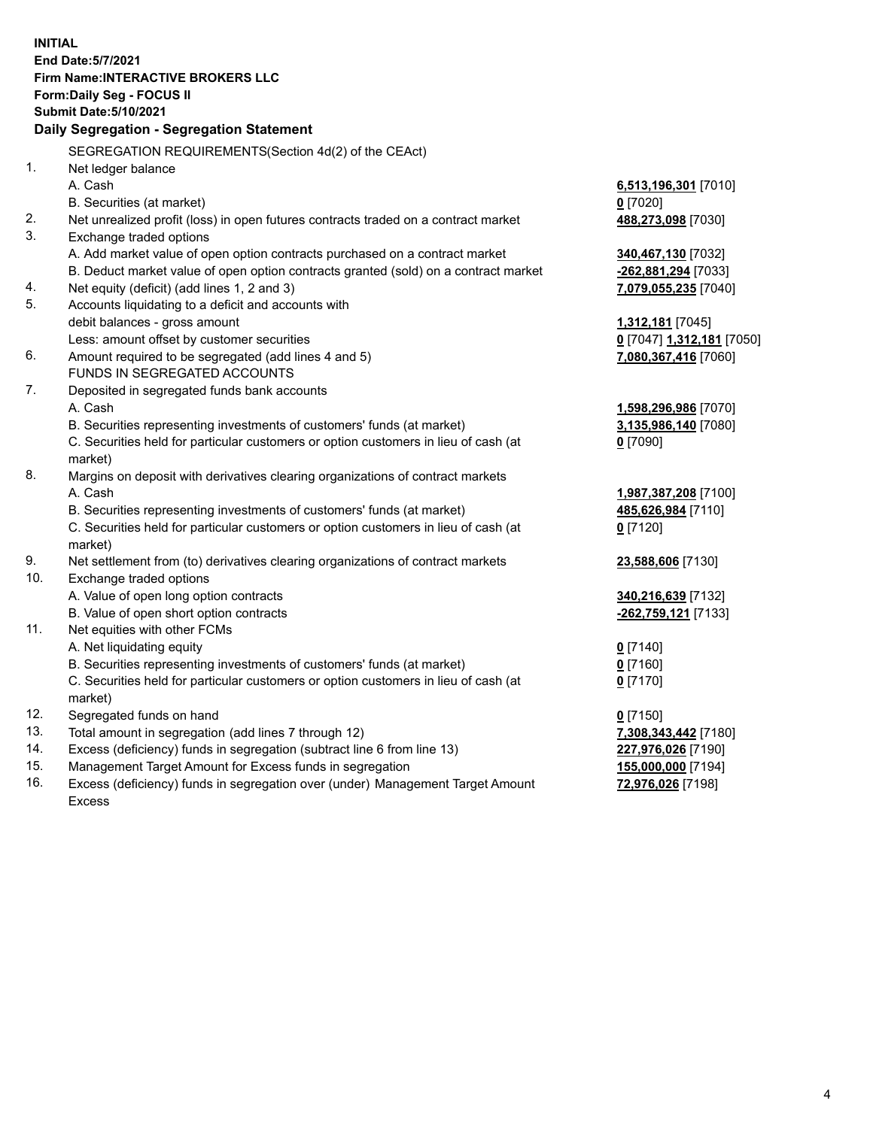**INITIAL End Date:5/7/2021 Firm Name:INTERACTIVE BROKERS LLC Form:Daily Seg - FOCUS II Submit Date:5/10/2021 Daily Segregation - Segregation Statement** SEGREGATION REQUIREMENTS(Section 4d(2) of the CEAct) 1. Net ledger balance A. Cash **6,513,196,301** [7010] B. Securities (at market) **0** [7020] 2. Net unrealized profit (loss) in open futures contracts traded on a contract market **488,273,098** [7030] 3. Exchange traded options A. Add market value of open option contracts purchased on a contract market **340,467,130** [7032] B. Deduct market value of open option contracts granted (sold) on a contract market **-262,881,294** [7033] 4. Net equity (deficit) (add lines 1, 2 and 3) **7,079,055,235** [7040] 5. Accounts liquidating to a deficit and accounts with debit balances - gross amount **1,312,181** [7045] Less: amount offset by customer securities **0** [7047] **1,312,181** [7050] 6. Amount required to be segregated (add lines 4 and 5) **7,080,367,416** [7060] FUNDS IN SEGREGATED ACCOUNTS 7. Deposited in segregated funds bank accounts A. Cash **1,598,296,986** [7070] B. Securities representing investments of customers' funds (at market) **3,135,986,140** [7080] C. Securities held for particular customers or option customers in lieu of cash (at market) **0** [7090] 8. Margins on deposit with derivatives clearing organizations of contract markets A. Cash **1,987,387,208** [7100] B. Securities representing investments of customers' funds (at market) **485,626,984** [7110] C. Securities held for particular customers or option customers in lieu of cash (at market) **0** [7120] 9. Net settlement from (to) derivatives clearing organizations of contract markets **23,588,606** [7130] 10. Exchange traded options A. Value of open long option contracts **340,216,639** [7132] B. Value of open short option contracts **-262,759,121** [7133] 11. Net equities with other FCMs A. Net liquidating equity **0** [7140] B. Securities representing investments of customers' funds (at market) **0** [7160] C. Securities held for particular customers or option customers in lieu of cash (at market) **0** [7170] 12. Segregated funds on hand **0** [7150] 13. Total amount in segregation (add lines 7 through 12) **7,308,343,442** [7180] 14. Excess (deficiency) funds in segregation (subtract line 6 from line 13) **227,976,026** [7190] 15. Management Target Amount for Excess funds in segregation **155,000,000** [7194]

16. Excess (deficiency) funds in segregation over (under) Management Target Amount Excess

**72,976,026** [7198]